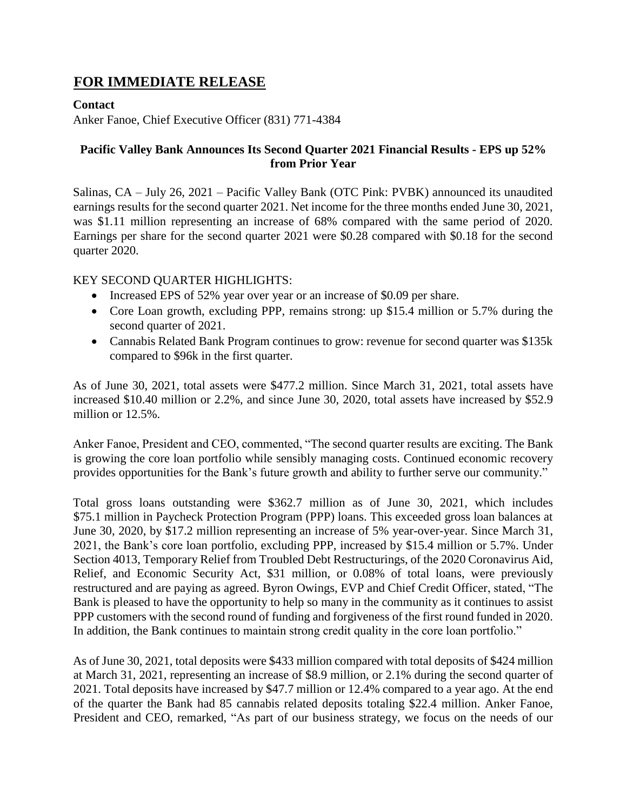# **FOR IMMEDIATE RELEASE**

## **Contact**

Anker Fanoe, Chief Executive Officer (831) 771-4384

## **Pacific Valley Bank Announces Its Second Quarter 2021 Financial Results - EPS up 52% from Prior Year**

Salinas, CA – July 26, 2021 – Pacific Valley Bank (OTC Pink: PVBK) announced its unaudited earnings results for the second quarter 2021. Net income for the three months ended June 30, 2021, was \$1.11 million representing an increase of 68% compared with the same period of 2020. Earnings per share for the second quarter 2021 were \$0.28 compared with \$0.18 for the second quarter 2020.

## KEY SECOND QUARTER HIGHLIGHTS:

- Increased EPS of 52% year over year or an increase of \$0.09 per share.
- Core Loan growth, excluding PPP, remains strong: up \$15.4 million or 5.7% during the second quarter of 2021.
- Cannabis Related Bank Program continues to grow: revenue for second quarter was \$135k compared to \$96k in the first quarter.

As of June 30, 2021, total assets were \$477.2 million. Since March 31, 2021, total assets have increased \$10.40 million or 2.2%, and since June 30, 2020, total assets have increased by \$52.9 million or 12.5%.

Anker Fanoe, President and CEO, commented, "The second quarter results are exciting. The Bank is growing the core loan portfolio while sensibly managing costs. Continued economic recovery provides opportunities for the Bank's future growth and ability to further serve our community."

Total gross loans outstanding were \$362.7 million as of June 30, 2021, which includes \$75.1 million in Paycheck Protection Program (PPP) loans. This exceeded gross loan balances at June 30, 2020, by \$17.2 million representing an increase of 5% year-over-year. Since March 31, 2021, the Bank's core loan portfolio, excluding PPP, increased by \$15.4 million or 5.7%. Under Section 4013, Temporary Relief from Troubled Debt Restructurings, of the 2020 Coronavirus Aid, Relief, and Economic Security Act, \$31 million, or 0.08% of total loans, were previously restructured and are paying as agreed. Byron Owings, EVP and Chief Credit Officer, stated, "The Bank is pleased to have the opportunity to help so many in the community as it continues to assist PPP customers with the second round of funding and forgiveness of the first round funded in 2020. In addition, the Bank continues to maintain strong credit quality in the core loan portfolio."

As of June 30, 2021, total deposits were \$433 million compared with total deposits of \$424 million at March 31, 2021, representing an increase of \$8.9 million, or 2.1% during the second quarter of 2021. Total deposits have increased by \$47.7 million or 12.4% compared to a year ago. At the end of the quarter the Bank had 85 cannabis related deposits totaling \$22.4 million. Anker Fanoe, President and CEO, remarked, "As part of our business strategy, we focus on the needs of our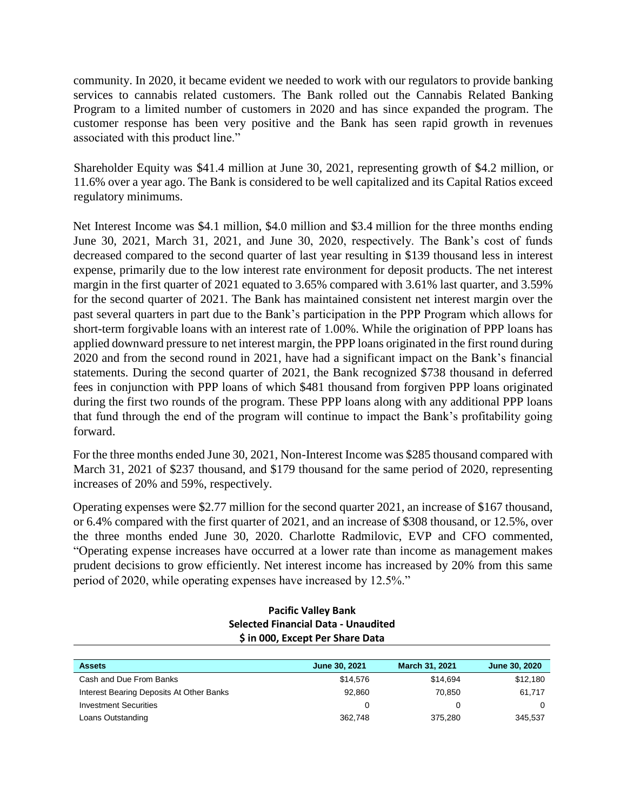community. In 2020, it became evident we needed to work with our regulators to provide banking services to cannabis related customers. The Bank rolled out the Cannabis Related Banking Program to a limited number of customers in 2020 and has since expanded the program. The customer response has been very positive and the Bank has seen rapid growth in revenues associated with this product line."

Shareholder Equity was \$41.4 million at June 30, 2021, representing growth of \$4.2 million, or 11.6% over a year ago. The Bank is considered to be well capitalized and its Capital Ratios exceed regulatory minimums.

Net Interest Income was \$4.1 million, \$4.0 million and \$3.4 million for the three months ending June 30, 2021, March 31, 2021, and June 30, 2020, respectively. The Bank's cost of funds decreased compared to the second quarter of last year resulting in \$139 thousand less in interest expense, primarily due to the low interest rate environment for deposit products. The net interest margin in the first quarter of 2021 equated to 3.65% compared with 3.61% last quarter, and 3.59% for the second quarter of 2021. The Bank has maintained consistent net interest margin over the past several quarters in part due to the Bank's participation in the PPP Program which allows for short-term forgivable loans with an interest rate of 1.00%. While the origination of PPP loans has applied downward pressure to net interest margin, the PPP loans originated in the first round during 2020 and from the second round in 2021, have had a significant impact on the Bank's financial statements. During the second quarter of 2021, the Bank recognized \$738 thousand in deferred fees in conjunction with PPP loans of which \$481 thousand from forgiven PPP loans originated during the first two rounds of the program. These PPP loans along with any additional PPP loans that fund through the end of the program will continue to impact the Bank's profitability going forward.

For the three months ended June 30, 2021, Non-Interest Income was \$285 thousand compared with March 31, 2021 of \$237 thousand, and \$179 thousand for the same period of 2020, representing increases of 20% and 59%, respectively.

Operating expenses were \$2.77 million for the second quarter 2021, an increase of \$167 thousand, or 6.4% compared with the first quarter of 2021, and an increase of \$308 thousand, or 12.5%, over the three months ended June 30, 2020. Charlotte Radmilovic, EVP and CFO commented, "Operating expense increases have occurred at a lower rate than income as management makes prudent decisions to grow efficiently. Net interest income has increased by 20% from this same period of 2020, while operating expenses have increased by 12.5%."

#### **Pacific Valley Bank Selected Financial Data - Unaudited \$ in 000, Except Per Share Data**

| <b>Assets</b>                            | <b>June 30, 2021</b> | March 31, 2021 | June 30, 2020 |
|------------------------------------------|----------------------|----------------|---------------|
| Cash and Due From Banks                  | \$14,576             | \$14.694       | \$12,180      |
| Interest Bearing Deposits At Other Banks | 92.860               | 70.850         | 61.717        |
| <b>Investment Securities</b>             | 0                    |                |               |
| Loans Outstanding                        | 362.748              | 375,280        | 345,537       |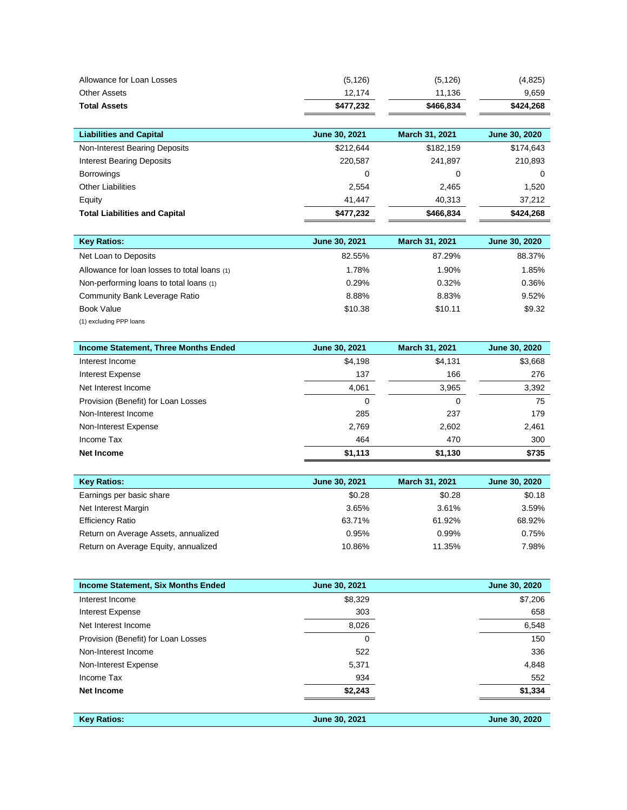| Allowance for Loan Losses            | (5, 126)      | (5, 126)              | (4,825)       |
|--------------------------------------|---------------|-----------------------|---------------|
| <b>Other Assets</b>                  | 12.174        | 11,136                | 9,659         |
| <b>Total Assets</b>                  | \$477,232     | \$466,834             | \$424,268     |
|                                      |               |                       |               |
| <b>Liabilities and Capital</b>       | June 30, 2021 | <b>March 31, 2021</b> | June 30, 2020 |
| Non-Interest Bearing Deposits        | \$212,644     | \$182,159             | \$174,643     |
| <b>Interest Bearing Deposits</b>     | 220,587       | 241,897               | 210,893       |
| <b>Borrowings</b>                    | 0             | 0                     | 0             |
| <b>Other Liabilities</b>             | 2,554         | 2,465                 | 1,520         |
| Equity                               | 41.447        | 40.313                | 37,212        |
| <b>Total Liabilities and Capital</b> | \$477,232     | \$466,834             | \$424,268     |

| <b>Key Ratios:</b>                           | June 30, 2021 | March 31, 2021 | June 30, 2020 |
|----------------------------------------------|---------------|----------------|---------------|
| Net Loan to Deposits                         | 82.55%        | 87.29%         | 88.37%        |
| Allowance for loan losses to total loans (1) | 1.78%         | 1.90%          | 1.85%         |
| Non-performing loans to total loans (1)      | 0.29%         | 0.32%          | 0.36%         |
| Community Bank Leverage Ratio                | 8.88%         | 8.83%          | 9.52%         |
| <b>Book Value</b>                            | \$10.38       | \$10.11        | \$9.32        |
| (1) excluding PPP loans                      |               |                |               |

| <b>Income Statement, Three Months Ended</b> | <b>June 30, 2021</b> | March 31, 2021 | June 30, 2020 |
|---------------------------------------------|----------------------|----------------|---------------|
| Interest Income                             | \$4,198              | \$4,131        | \$3,668       |
| Interest Expense                            | 137                  | 166            | 276           |
| Net Interest Income                         | 4.061                | 3,965          | 3,392         |
| Provision (Benefit) for Loan Losses         | 0                    | 0              | 75            |
| Non-Interest Income                         | 285                  | 237            | 179           |
| Non-Interest Expense                        | 2.769                | 2.602          | 2,461         |
| Income Tax                                  | 464                  | 470            | 300           |
| Net Income                                  | \$1,113              | \$1,130        | \$735         |

| <b>Key Ratios:</b>                   | June 30, 2021 | March 31, 2021 | June 30, 2020 |
|--------------------------------------|---------------|----------------|---------------|
| Earnings per basic share             | \$0.28        | \$0.28         | \$0.18        |
| Net Interest Margin                  | 3.65%         | 3.61%          | 3.59%         |
| <b>Efficiency Ratio</b>              | 63.71%        | 61.92%         | 68.92%        |
| Return on Average Assets, annualized | 0.95%         | 0.99%          | 0.75%         |
| Return on Average Equity, annualized | 10.86%        | 11.35%         | 7.98%         |

| <b>Income Statement, Six Months Ended</b> | June 30, 2021 | June 30, 2020 |
|-------------------------------------------|---------------|---------------|
| Interest Income                           | \$8,329       | \$7,206       |
| <b>Interest Expense</b>                   | 303           | 658           |
| Net Interest Income                       | 8,026         | 6,548         |
| Provision (Benefit) for Loan Losses       | 0             | 150           |
| Non-Interest Income                       | 522           | 336           |
| Non-Interest Expense                      | 5,371         | 4,848         |
| Income Tax                                | 934           | 552           |
| Net Income                                | \$2,243       | \$1,334       |
|                                           |               |               |
| <b>Key Ratios:</b>                        | June 30, 2021 | June 30, 2020 |